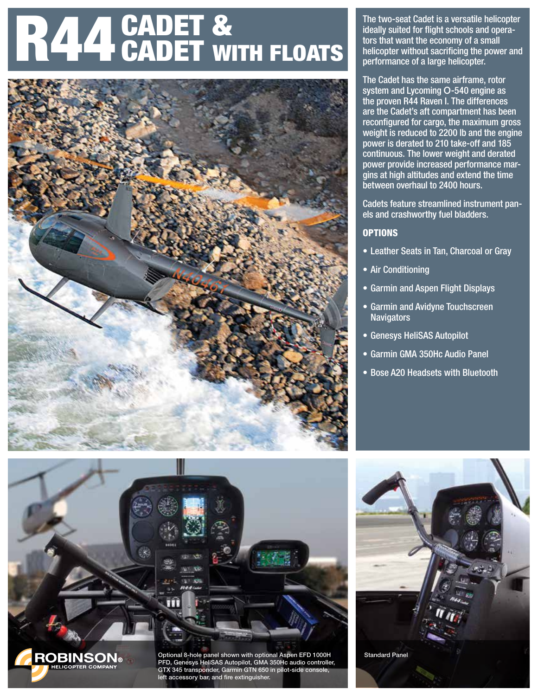# R44 CADET &



The two-seat Cadet is a versatile helicopter ideally suited for flight schools and operators that want the economy of a small helicopter without sacrificing the power and performance of a large helicopter.

The Cadet has the same airframe, rotor system and Lycoming O-540 engine as the proven R44 Raven I. The differences are the Cadet's aft compartment has been reconfigured for cargo, the maximum gross weight is reduced to 2200 lb and the engine power is derated to 210 take-off and 185 continuous. The lower weight and derated power provide increased performance margins at high altitudes and extend the time between overhaul to 2400 hours.

Cadets feature streamlined instrument panels and crashworthy fuel bladders.

#### **OPTIONS**

- Leather Seats in Tan, Charcoal or Gray
- Air Conditioning
- Garmin and Aspen Flight Displays
- Garmin and Avidyne Touchscreen **Navigators**
- Genesys HeliSAS Autopilot
- Garmin GMA 350Hc Audio Panel
- Bose A20 Headsets with Bluetooth